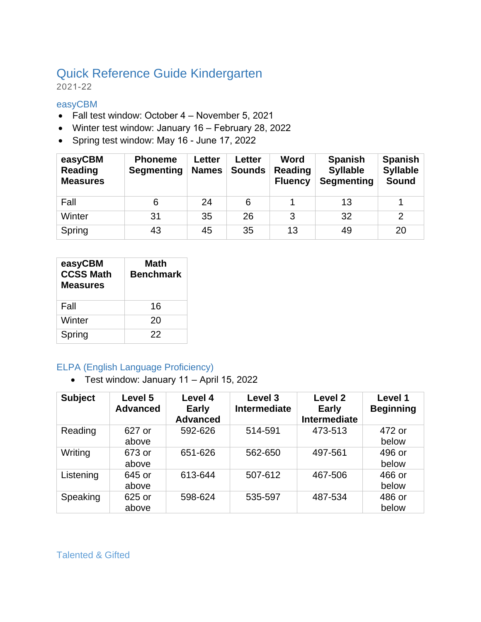# Quick Reference Guide Kindergarten

2021-22

#### easyCBM

- Fall test window: October 4 November 5, 2021
- Winter test window: January 16 February 28, 2022
- Spring test window: May 16 June 17, 2022

| easyCBM<br><b>Reading</b><br><b>Measures</b> | <b>Phoneme</b><br><b>Segmenting</b> | <b>Letter</b><br><b>Names</b> | <b>Letter</b><br><b>Sounds</b> | <b>Word</b><br><b>Reading</b><br><b>Fluency</b> | <b>Spanish</b><br><b>Syllable</b><br><b>Segmenting</b> | <b>Spanish</b><br><b>Syllable</b><br>Sound |
|----------------------------------------------|-------------------------------------|-------------------------------|--------------------------------|-------------------------------------------------|--------------------------------------------------------|--------------------------------------------|
| Fall                                         | 6                                   | 24                            | 6                              |                                                 | 13                                                     |                                            |
| Winter                                       | 31                                  | 35                            | 26                             | 3                                               | 32                                                     | $\overline{2}$                             |
| Spring                                       | 43                                  | 45                            | 35                             | 13                                              | 49                                                     | 20                                         |

| easyCBM<br><b>CCSS Math</b><br><b>Measures</b> | Math<br><b>Benchmark</b> |
|------------------------------------------------|--------------------------|
| Fall                                           | 16                       |
| Winter                                         | 20                       |
| Spring                                         | 22                       |

# ELPA (English Language Proficiency)

• Test window: January 11 – April 15, 2022

| <b>Subject</b> | Level 5<br><b>Advanced</b> | Level 4<br><b>Early</b><br><b>Advanced</b> | Level 3<br>Intermediate | Level <sub>2</sub><br><b>Early</b><br><b>Intermediate</b> | Level 1<br><b>Beginning</b> |
|----------------|----------------------------|--------------------------------------------|-------------------------|-----------------------------------------------------------|-----------------------------|
| Reading        | 627 or<br>above            | 592-626                                    | 514-591                 | 473-513                                                   | 472 or<br>below             |
| Writing        | 673 or<br>above            | 651-626                                    | 562-650                 | 497-561                                                   | 496 or<br>below             |
| Listening      | 645 or<br>above            | 613-644                                    | 507-612                 | 467-506                                                   | 466 or<br>below             |
| Speaking       | 625 or<br>above            | 598-624                                    | 535-597                 | 487-534                                                   | 486 or<br>below             |

Talented & Gifted